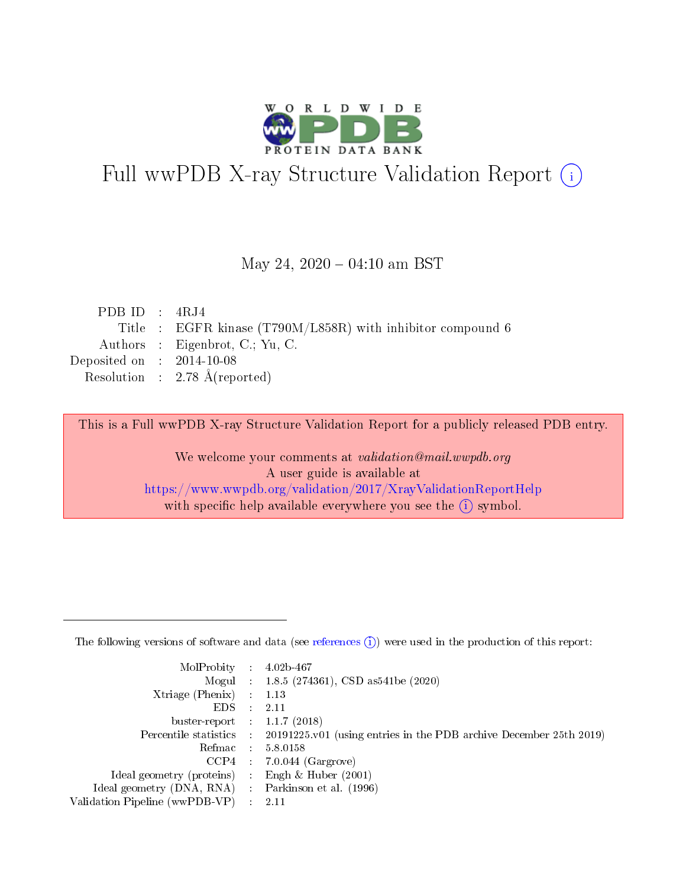

# Full wwPDB X-ray Structure Validation Report (i)

#### May 24,  $2020 - 04:10$  am BST

| PDB ID : $4RJ4$                      |                                                             |
|--------------------------------------|-------------------------------------------------------------|
|                                      | Title : EGFR kinase (T790M/L858R) with inhibitor compound 6 |
|                                      | Authors : Eigenbrot, C.; Yu, C.                             |
| Deposited on $\therefore$ 2014-10-08 |                                                             |
|                                      | Resolution : 2.78 $\AA$ (reported)                          |

This is a Full wwPDB X-ray Structure Validation Report for a publicly released PDB entry.

We welcome your comments at validation@mail.wwpdb.org A user guide is available at <https://www.wwpdb.org/validation/2017/XrayValidationReportHelp> with specific help available everywhere you see the  $(i)$  symbol.

The following versions of software and data (see [references](https://www.wwpdb.org/validation/2017/XrayValidationReportHelp#references)  $(1)$ ) were used in the production of this report:

| MolProbity :                   |               | $4.02b - 467$                                                               |
|--------------------------------|---------------|-----------------------------------------------------------------------------|
|                                |               | Mogul : $1.8.5$ (274361), CSD as 541be (2020)                               |
| $X$ triage (Phenix) :          |               | 1.13                                                                        |
| EDS.                           |               | 2.11                                                                        |
| buster-report : $1.1.7$ (2018) |               |                                                                             |
| Percentile statistics :        |               | $20191225 \text{v}01$ (using entries in the PDB archive December 25th 2019) |
| Refmac :                       |               | 5.8.0158                                                                    |
| $CCP4$ :                       |               | $7.0.044$ (Gargrove)                                                        |
| Ideal geometry (proteins) :    |               | Engh $\&$ Huber (2001)                                                      |
| Ideal geometry (DNA, RNA) :    |               | Parkinson et al. (1996)                                                     |
| Validation Pipeline (wwPDB-VP) | $\mathcal{L}$ | 2.11                                                                        |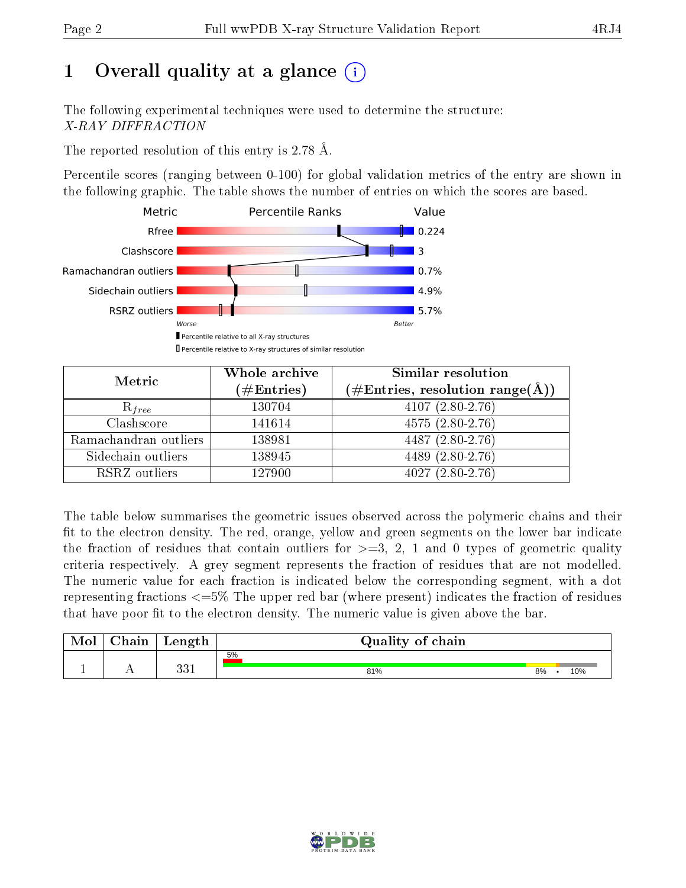# 1 [O](https://www.wwpdb.org/validation/2017/XrayValidationReportHelp#overall_quality)verall quality at a glance  $(i)$

The following experimental techniques were used to determine the structure: X-RAY DIFFRACTION

The reported resolution of this entry is 2.78 Å.

Percentile scores (ranging between 0-100) for global validation metrics of the entry are shown in the following graphic. The table shows the number of entries on which the scores are based.



| Metric                | Whole archive<br>$(\#\text{Entries})$ | Similar resolution<br>$(\#\text{Entries},\, \text{resolution}\; \text{range}(\textup{\AA}))$ |  |  |
|-----------------------|---------------------------------------|----------------------------------------------------------------------------------------------|--|--|
| $R_{free}$            | 130704                                | $4107(2.80-2.76)$                                                                            |  |  |
| Clashscore            | 141614                                | $4575(2.80-2.76)$                                                                            |  |  |
| Ramachandran outliers | 138981                                | $4487 (2.80 - 2.76)$                                                                         |  |  |
| Sidechain outliers    | 138945                                | 4489 (2.80-2.76)                                                                             |  |  |
| RSRZ outliers         | 127900                                | $4027(2.80-2.76)$                                                                            |  |  |

The table below summarises the geometric issues observed across the polymeric chains and their fit to the electron density. The red, orange, yellow and green segments on the lower bar indicate the fraction of residues that contain outliers for  $>=3, 2, 1$  and 0 types of geometric quality criteria respectively. A grey segment represents the fraction of residues that are not modelled. The numeric value for each fraction is indicated below the corresponding segment, with a dot representing fractions  $\epsilon=5\%$  The upper red bar (where present) indicates the fraction of residues that have poor fit to the electron density. The numeric value is given above the bar.

| Mol | $\cap$ hain | Length      | Quality of chain |    |     |
|-----|-------------|-------------|------------------|----|-----|
|     |             |             | 5%               |    |     |
| д.  | . .         | ດດ 1<br>ບບ⊥ | 81%              | 8% | 10% |

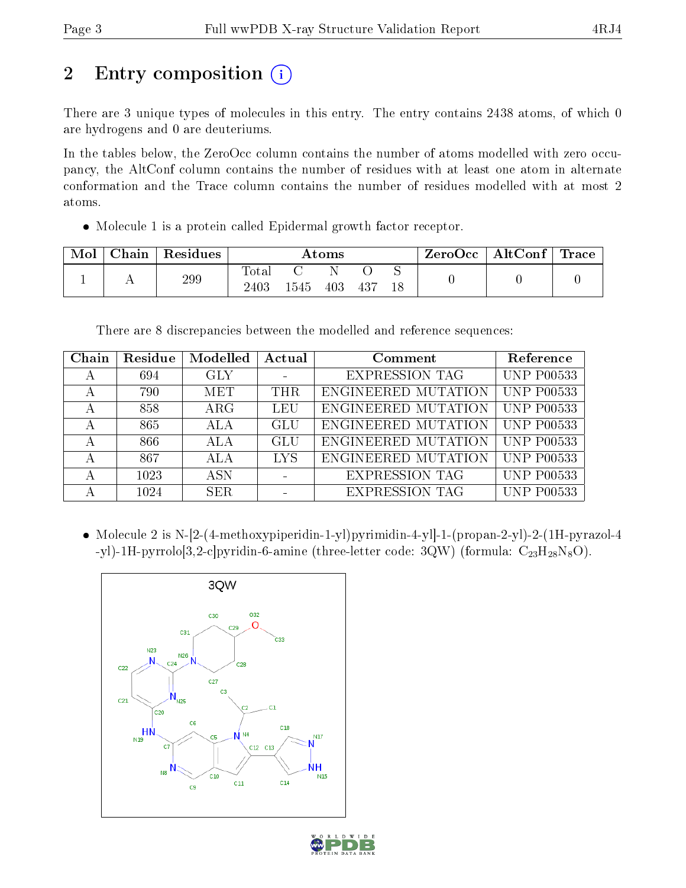# 2 Entry composition  $\left( \cdot \right)$

There are 3 unique types of molecules in this entry. The entry contains 2438 atoms, of which 0 are hydrogens and 0 are deuteriums.

In the tables below, the ZeroOcc column contains the number of atoms modelled with zero occupancy, the AltConf column contains the number of residues with at least one atom in alternate conformation and the Trace column contains the number of residues modelled with at most 2 atoms.

Molecule 1 is a protein called Epidermal growth factor receptor.

| Mol | Chain | Residues | $\rm{Atoms}$        |     |     |        | $ZeroOcc \mid AltConf \mid$ | Trace |  |
|-----|-------|----------|---------------------|-----|-----|--------|-----------------------------|-------|--|
|     |       | 299      | $\rm Total$<br>2403 | 545 | 403 | $-437$ | ∼                           |       |  |

There are 8 discrepancies between the modelled and reference sequences:

| Chain | Residue | Modelled   | Actual     | Comment               | Reference         |
|-------|---------|------------|------------|-----------------------|-------------------|
|       | 694     | <b>GLY</b> |            | <b>EXPRESSION TAG</b> | <b>UNP P00533</b> |
|       | 790     | MET        | <b>THR</b> | ENGINEERED MUTATION   | <b>UNP P00533</b> |
|       | 858     | $\rm{ARG}$ | LEU        | ENGINEERED MUTATION   | <b>UNP P00533</b> |
|       | 865     | <b>ALA</b> | GLU        | ENGINEERED MUTATION   | <b>UNP P00533</b> |
|       | 866     | ALA        | GLU        | ENGINEERED MUTATION   | <b>UNP P00533</b> |
|       | 867     | <b>ALA</b> | <b>LYS</b> | ENGINEERED MUTATION   | <b>UNP P00533</b> |
|       | 1023    | <b>ASN</b> |            | <b>EXPRESSION TAG</b> | <b>UNP P00533</b> |
|       | 1024    | SER.       |            | <b>EXPRESSION TAG</b> | <b>UNP P00533</b> |

 Molecule 2 is N-[2-(4-methoxypiperidin-1-yl)pyrimidin-4-yl]-1-(propan-2-yl)-2-(1H-pyrazol-4 -yl)-1H-pyrrolo $[3,2-c]$ pyridin-6-amine (three-letter code: 3QW) (formula:  $C_{23}H_{28}N_8O$ ).



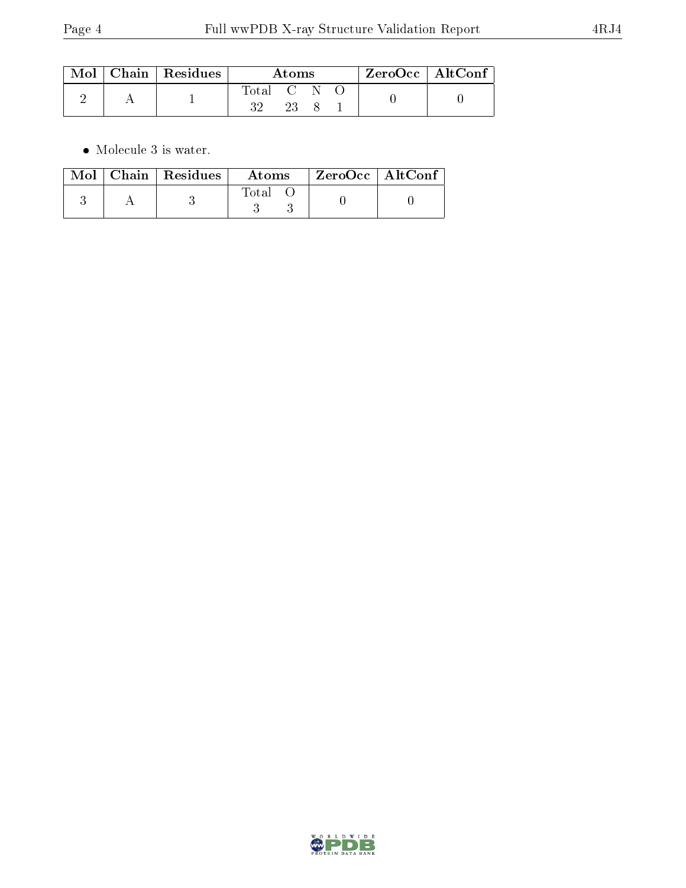|  | $\mid$ Mol $\mid$ Chain $\mid$ Residues | Atoms           |      |  | $ZeroOcc$   AltConf |  |
|--|-----------------------------------------|-----------------|------|--|---------------------|--|
|  |                                         | Total C N<br>າາ | -23- |  |                     |  |

 $\bullet\,$  Molecule 3 is water.

|  | Mol $\vert$ Chain $\vert$ Residues $\vert$ | Atoms | $\text{ZeroOcc} \mid \text{AltConf}$ |  |
|--|--------------------------------------------|-------|--------------------------------------|--|
|  |                                            | Total |                                      |  |

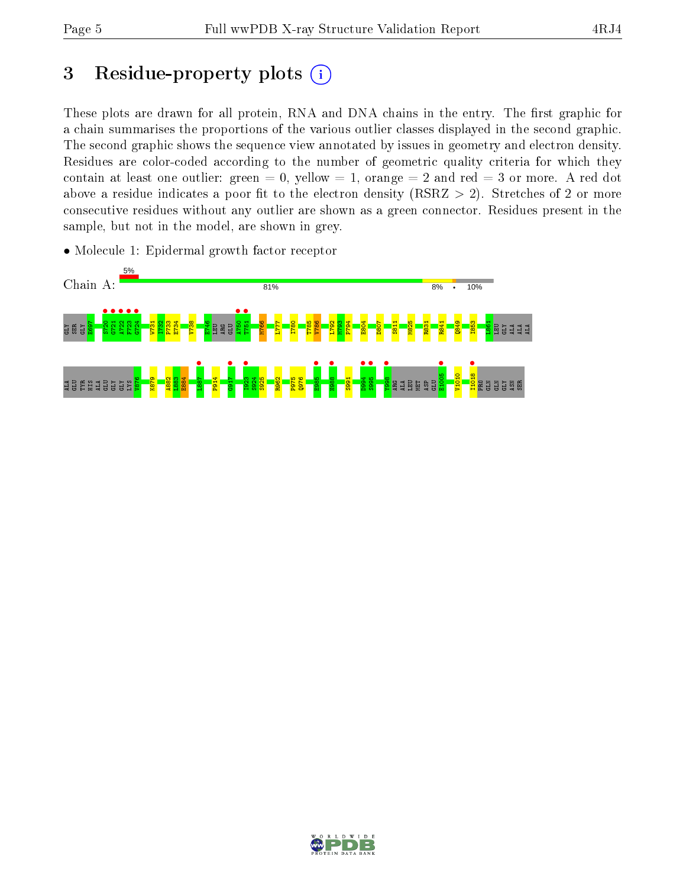# 3 Residue-property plots  $(i)$

These plots are drawn for all protein, RNA and DNA chains in the entry. The first graphic for a chain summarises the proportions of the various outlier classes displayed in the second graphic. The second graphic shows the sequence view annotated by issues in geometry and electron density. Residues are color-coded according to the number of geometric quality criteria for which they contain at least one outlier: green  $= 0$ , yellow  $= 1$ , orange  $= 2$  and red  $= 3$  or more. A red dot above a residue indicates a poor fit to the electron density (RSRZ  $> 2$ ). Stretches of 2 or more consecutive residues without any outlier are shown as a green connector. Residues present in the sample, but not in the model, are shown in grey.

• Molecule 1: Epidermal growth factor receptor



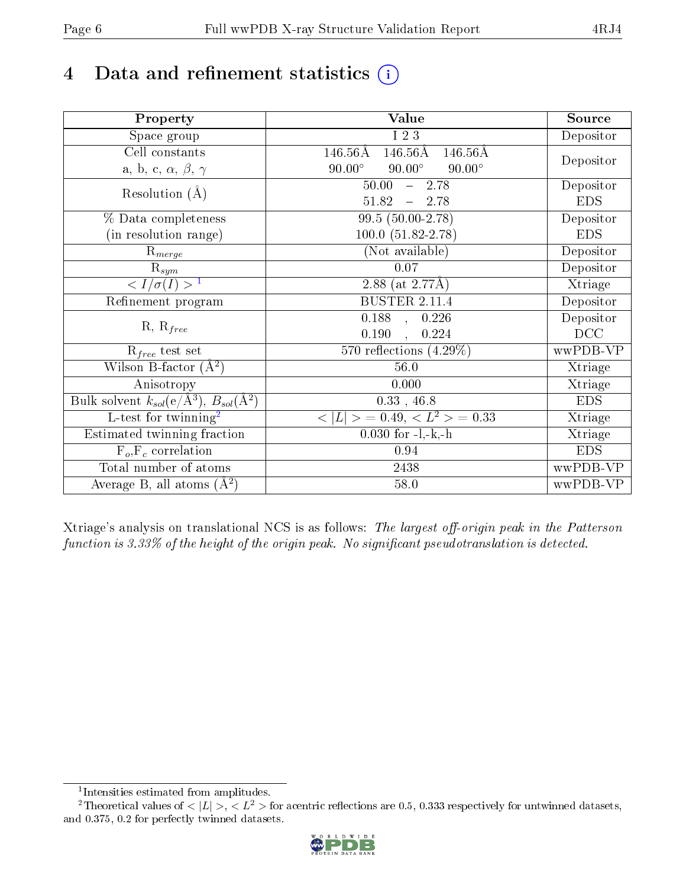# 4 Data and refinement statistics  $(i)$

| Property                                                             | <b>Value</b>                                                   | Source     |
|----------------------------------------------------------------------|----------------------------------------------------------------|------------|
| Space group                                                          | I 2 3                                                          | Depositor  |
| Cell constants                                                       | $146.56\text{\AA}$<br>$146.56\text{\AA}$<br>$146.56\text{\AA}$ |            |
| a, b, c, $\alpha$ , $\beta$ , $\gamma$                               | $90.00^\circ$<br>$90.00^\circ$<br>$90.00^\circ$                | Depositor  |
| Resolution $(A)$                                                     | 50.00<br>$-2.78$                                               | Depositor  |
|                                                                      | 51.82<br>$-2.78$                                               | <b>EDS</b> |
| % Data completeness                                                  | 99.5 (50.00-2.78)                                              | Depositor  |
| (in resolution range)                                                | $100.0 (51.82 - 2.78)$                                         | <b>EDS</b> |
| $R_{merge}$                                                          | (Not available)                                                | Depositor  |
| $\mathrm{R}_{sym}$                                                   | 0.07                                                           | Depositor  |
| $\langle I/\sigma(I) \rangle^{-1}$                                   | 2.88 (at $2.77\text{\AA}$ )                                    | Xtriage    |
| Refinement program                                                   | <b>BUSTER 2.11.4</b>                                           | Depositor  |
|                                                                      | $\overline{0.188}$ ,<br>0.226                                  | Depositor  |
| $R, R_{free}$                                                        | 0.190<br>0.224<br>$\ddot{\phantom{a}}$                         | DCC        |
| $R_{free}$ test set                                                  | 570 reflections $(4.29\%)$                                     | wwPDB-VP   |
| Wilson B-factor $(A^2)$                                              | 56.0                                                           | Xtriage    |
| Anisotropy                                                           | 0.000                                                          | Xtriage    |
| Bulk solvent $k_{sol}(e/\mathring{A}^3)$ , $B_{sol}(\mathring{A}^2)$ | $0.33$ , 46.8                                                  | <b>EDS</b> |
| L-test for twinning <sup>2</sup>                                     | $>$ = 0.49, < $L^2$ > = 0.33<br>< L                            | Xtriage    |
| Estimated twinning fraction                                          | $0.030$ for $-l,-k,-h$                                         | Xtriage    |
| $F_o, F_c$ correlation                                               | 0.94                                                           | <b>EDS</b> |
| Total number of atoms                                                | 2438                                                           | wwPDB-VP   |
| Average B, all atoms $(A^2)$                                         | 58.0                                                           | wwPDB-VP   |

Xtriage's analysis on translational NCS is as follows: The largest off-origin peak in the Patterson function is  $3.33\%$  of the height of the origin peak. No significant pseudotranslation is detected.

<sup>&</sup>lt;sup>2</sup>Theoretical values of  $\langle |L| \rangle$ ,  $\langle L^2 \rangle$  for acentric reflections are 0.5, 0.333 respectively for untwinned datasets, and 0.375, 0.2 for perfectly twinned datasets.



<span id="page-5-1"></span><span id="page-5-0"></span><sup>1</sup> Intensities estimated from amplitudes.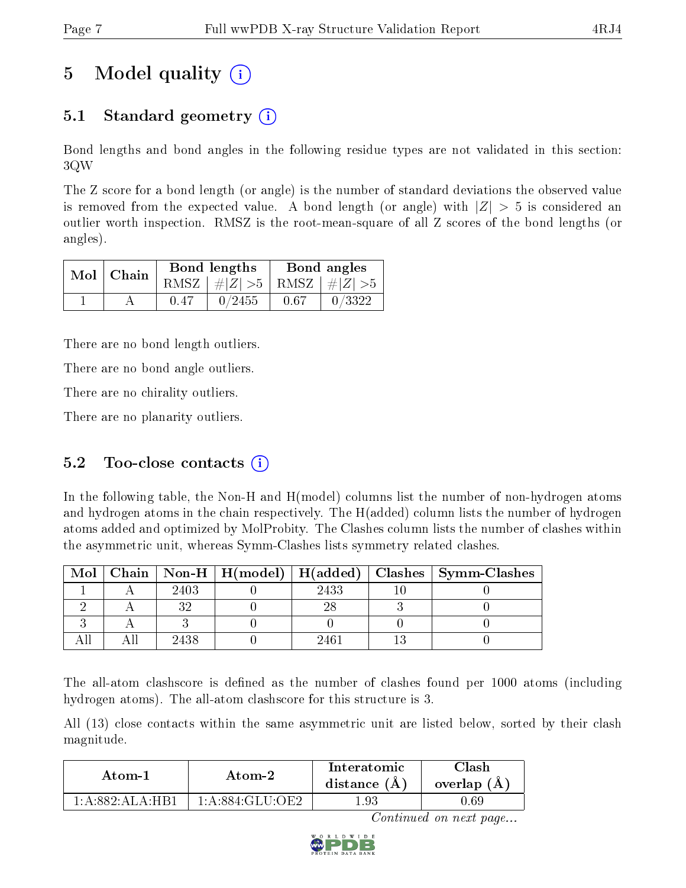# 5 Model quality  $(i)$

## 5.1 Standard geometry (i)

Bond lengths and bond angles in the following residue types are not validated in this section: 3QW

The Z score for a bond length (or angle) is the number of standard deviations the observed value is removed from the expected value. A bond length (or angle) with  $|Z| > 5$  is considered an outlier worth inspection. RMSZ is the root-mean-square of all Z scores of the bond lengths (or angles).

| $Mol$   Chain |      | Bond lengths                    | Bond angles |        |  |
|---------------|------|---------------------------------|-------------|--------|--|
|               |      | RMSZ $ #Z  > 5$ RMSZ $ #Z  > 5$ |             |        |  |
|               | 0.47 | 0/2455                          | 0.67        | 0/3322 |  |

There are no bond length outliers.

There are no bond angle outliers.

There are no chirality outliers.

There are no planarity outliers.

#### 5.2 Too-close contacts  $(i)$

In the following table, the Non-H and H(model) columns list the number of non-hydrogen atoms and hydrogen atoms in the chain respectively. The H(added) column lists the number of hydrogen atoms added and optimized by MolProbity. The Clashes column lists the number of clashes within the asymmetric unit, whereas Symm-Clashes lists symmetry related clashes.

| Mol |      |      | Chain   Non-H   H(model)   H(added)   Clashes   Symm-Clashes |
|-----|------|------|--------------------------------------------------------------|
|     | 2403 | 2433 |                                                              |
|     |      |      |                                                              |
|     |      |      |                                                              |
|     | 2438 |      |                                                              |

The all-atom clashscore is defined as the number of clashes found per 1000 atoms (including hydrogen atoms). The all-atom clashscore for this structure is 3.

All (13) close contacts within the same asymmetric unit are listed below, sorted by their clash magnitude.

| Atom-1                                             | Atom-2          |     | 7lash<br>overlap (A) |  |
|----------------------------------------------------|-----------------|-----|----------------------|--|
| $1 \cdot A \cdot 882 \cdot A I \cdot A \cdot H B1$ | 1:A:884:GLU:OE2 | .93 | $0.69\,$             |  |

Continued on next page...

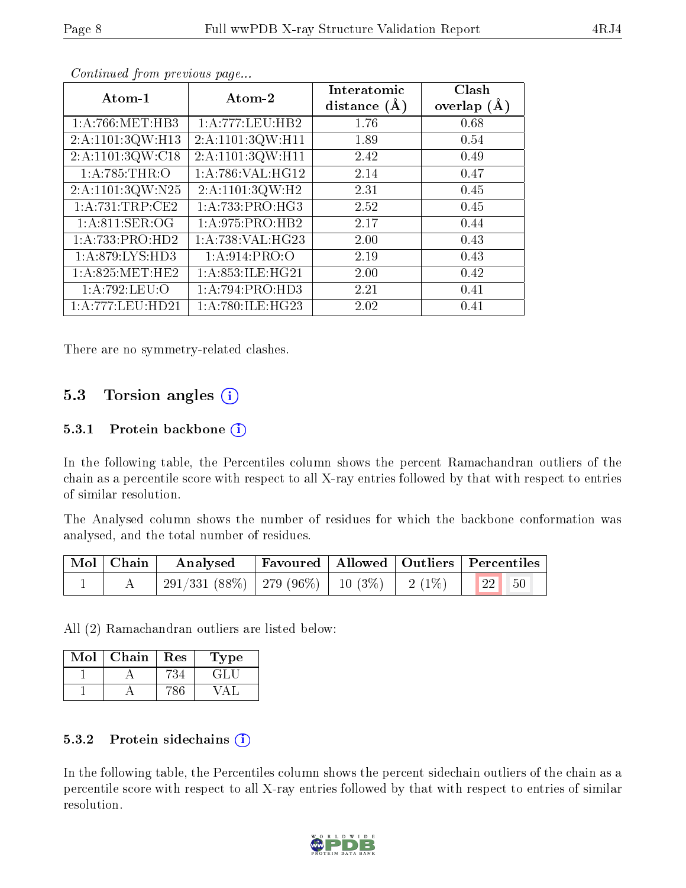| Atom-1               | Atom-2              | Interatomic<br>distance $(A)$ | Clash<br>overlap $(A)$ |
|----------------------|---------------------|-------------------------------|------------------------|
| 1: A:766: MET:HB3    | 1: A:777:LEU:HB2    | 1.76                          | 0.68                   |
| 2:A:1101:3QW:H13     | 2:A:1101:3QW:H11    | 1.89                          | 0.54                   |
| 2: A: 1101: 3QW: C18 | 2:A:1101:3QW:H11    | 2.42                          | 0.49                   |
| 1: A:785:THR:O       | 1: A:786: VAL:HG12  | 2.14                          | 0.47                   |
| 2:A:1101:3QW:N25     | 2:A:1101:3QW:H2     | 2.31                          | 0.45                   |
| 1:A:731:TRP:CE2      | 1: A: 733: PRO: HG3 | 2.52                          | 0.45                   |
| 1: A:811: SER:OG     | 1:A:975:PRO:HB2     | 2.17                          | 0.44                   |
| 1:A:733:PRO:HD2      | 1:A:738:VAL:HG23    | 2.00                          | 0.43                   |
| 1:A:879:LYS:HD3      | 1: A:914: PRO:O     | 2.19                          | 0.43                   |
| 1: A:825: MET:HE2    | 1: A:853: ILE: HG21 | 2.00                          | 0.42                   |
| 1:A:792:LEU:O        | 1:A:794:PRO:HD3     | 2.21                          | 0.41                   |
| 1:A:777:LEU:HD21     | 1: A:780: ILE: HG23 | 2.02                          | 0.41                   |

Continued from previous page...

There are no symmetry-related clashes.

#### 5.3 Torsion angles  $(i)$

#### 5.3.1 Protein backbone  $(i)$

In the following table, the Percentiles column shows the percent Ramachandran outliers of the chain as a percentile score with respect to all X-ray entries followed by that with respect to entries of similar resolution.

The Analysed column shows the number of residues for which the backbone conformation was analysed, and the total number of residues.

| Mol   Chain | Analysed   Favoured   Allowed   Outliers   Percentiles      |  |  |
|-------------|-------------------------------------------------------------|--|--|
|             | $^+$ 291/331 (88%)   279 (96%)   10 (3%)   2 (1%)   22   50 |  |  |

All (2) Ramachandran outliers are listed below:

| Mol | Chain | Res | L'ype |
|-----|-------|-----|-------|
|     |       |     | E HAT |
|     |       |     |       |

#### 5.3.2 Protein sidechains  $(i)$

In the following table, the Percentiles column shows the percent sidechain outliers of the chain as a percentile score with respect to all X-ray entries followed by that with respect to entries of similar resolution.

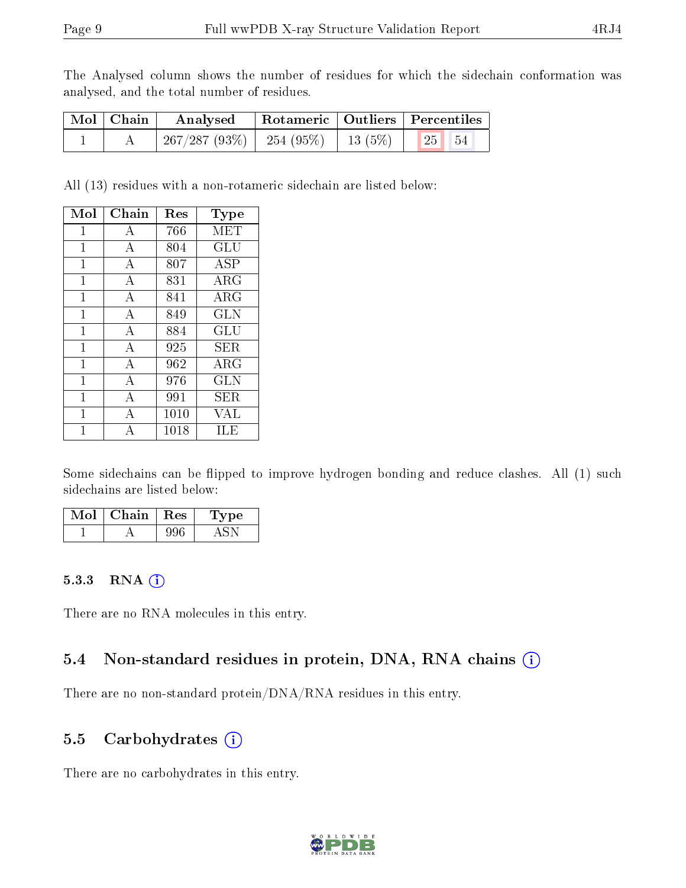The Analysed column shows the number of residues for which the sidechain conformation was analysed, and the total number of residues.

| Mol   Chain | Analysed                                      |  | Rotameric   Outliers   Percentiles |  |
|-------------|-----------------------------------------------|--|------------------------------------|--|
|             | 267/287 (93%)   254 (95%)   13 (5%)   $\vert$ |  | $\parallel$ 25 $\parallel$ 54      |  |

All (13) residues with a non-rotameric sidechain are listed below:

| Mol | Chain          | Res  | Type        |
|-----|----------------|------|-------------|
| 1   | А              | 766  | MET         |
| 1   | A              | 804  | GLU         |
| 1   | А              | 807  | ASP         |
| 1   | А              | 831  | $\rm{ARG}$  |
| 1   | $\mathbf{A}$   | 841  | $\rm{ARG}$  |
| 1   | А              | 849  | <b>GLN</b>  |
| 1   | А              | 884  | GLU         |
| 1   | $\mathbf{A}$   | 925  | SER.        |
| 1   | А              | 962  | ${\rm ARG}$ |
| 1   | А              | 976  | GLN         |
| 1   | $\overline{A}$ | 991  | SER.        |
| 1   | A              | 1010 | VAL         |
|     | А              | 1018 | ILE         |

Some sidechains can be flipped to improve hydrogen bonding and reduce clashes. All (1) such sidechains are listed below:

| Mol | Chain. | $\pm$ Res $^+$ | Type |
|-----|--------|----------------|------|
|     |        |                |      |

#### 5.3.3 RNA (i)

There are no RNA molecules in this entry.

### 5.4 Non-standard residues in protein, DNA, RNA chains (i)

There are no non-standard protein/DNA/RNA residues in this entry.

### 5.5 Carbohydrates (i)

There are no carbohydrates in this entry.

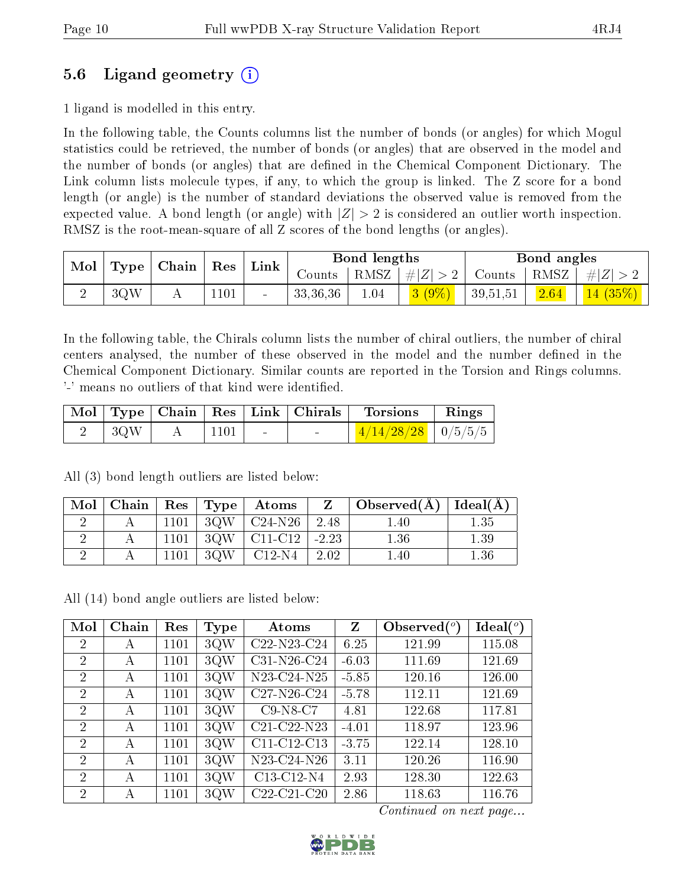### 5.6 Ligand geometry (i)

1 ligand is modelled in this entry.

In the following table, the Counts columns list the number of bonds (or angles) for which Mogul statistics could be retrieved, the number of bonds (or angles) that are observed in the model and the number of bonds (or angles) that are dened in the Chemical Component Dictionary. The Link column lists molecule types, if any, to which the group is linked. The Z score for a bond length (or angle) is the number of standard deviations the observed value is removed from the expected value. A bond length (or angle) with  $|Z| > 2$  is considered an outlier worth inspection. RMSZ is the root-mean-square of all Z scores of the bond lengths (or angles).

| Mol   Type $\vert$ | $\vert$ Chain | Res  | Link   |          | Bond lengths |                 |                     | Bond angles |                     |
|--------------------|---------------|------|--------|----------|--------------|-----------------|---------------------|-------------|---------------------|
|                    |               |      |        | Counts   |              | RMSZ $ #Z  > 2$ | Counts              |             | $ RMSZ $ # $ Z >$ : |
| 3QW                |               | 1101 | $\sim$ | 33,36,36 | 1.04         | $3(9\%)$        | $^{\circ}$ 39,51,51 | 2.64        | $\mid$ 14 (35%)     |

In the following table, the Chirals column lists the number of chiral outliers, the number of chiral centers analysed, the number of these observed in the model and the number defined in the Chemical Component Dictionary. Similar counts are reported in the Torsion and Rings columns. '-' means no outliers of that kind were identified.

|        |             | Mol   Type   Chain   Res   Link   Chirals | Torsions                       | $\mathbf{Rings}$ |
|--------|-------------|-------------------------------------------|--------------------------------|------------------|
| $+3QW$ | $\mid$ 1101 |                                           | $\frac{4}{14/28/28}$   0/5/5/5 |                  |

All (3) bond length outliers are listed below:

| Mol | Chain |          | $\text{Res}$   $\text{Type}$ | Atoms     | $\mathbf{Z}$ | $\overline{\phantom{a}}$ Observed(A) $\overline{\phantom{a}}$ | Ideal $(A)$ |
|-----|-------|----------|------------------------------|-----------|--------------|---------------------------------------------------------------|-------------|
|     |       | $1101\,$ | 3QW                          | $C24-N26$ | 2.48         | 1.40                                                          | 1.35        |
|     |       | 1101     | 3QW                          | $C11-C12$ | $-2.23$      | 1.36                                                          | .39         |
|     |       | 101      | 3QW                          | $C12-N4$  | 2.02         | l .40                                                         | 1.36        |

All (14) bond angle outliers are listed below:

| Mol            | Chain | Res  | Type | Atoms         | $\mathbf{Z}$ | Observed $(°)$ | Ideal $(^{\circ}$ |
|----------------|-------|------|------|---------------|--------------|----------------|-------------------|
| 2              | А     | 1101 | 3QW  | $C22-N23-C24$ | 6.25         | 121.99         | 115.08            |
| $\overline{2}$ | А     | 1101 | 3QW  | $C31-N26-C24$ | $-6.03$      | 111.69         | 121.69            |
| 2              | A     | 1101 | 3QW  | N23-C24-N25   | $-5.85$      | 120.16         | 126.00            |
| $\overline{2}$ | А     | 1101 | 3QW  | $C27-N26-C24$ | $-5.78$      | 112.11         | 121.69            |
| $\overline{2}$ | А     | 1101 | 3QW  | $C9-NS-C7$    | 4.81         | 122.68         | 117.81            |
| $\mathcal{D}$  | А     | 1101 | 3QW  | C21-C22-N23   | $-4.01$      | 118.97         | 123.96            |
| $\overline{2}$ | А     | 1101 | 3QW  | C11-C12-C13   | $-3.75$      | 122.14         | 128.10            |
| $\overline{2}$ | А     | 1101 | 3QW  | N23-C24-N26   | 3.11         | 120.26         | 116.90            |
| $\mathcal{D}$  | А     | 1101 | 3QW  | C13-C12-N4    | 2.93         | 128.30         | 122.63            |
| $\overline{2}$ | А     | 1101 | 3QW  | $C22-C21-C20$ | 2.86         | 118.63         | 116.76            |

Continued on next page...

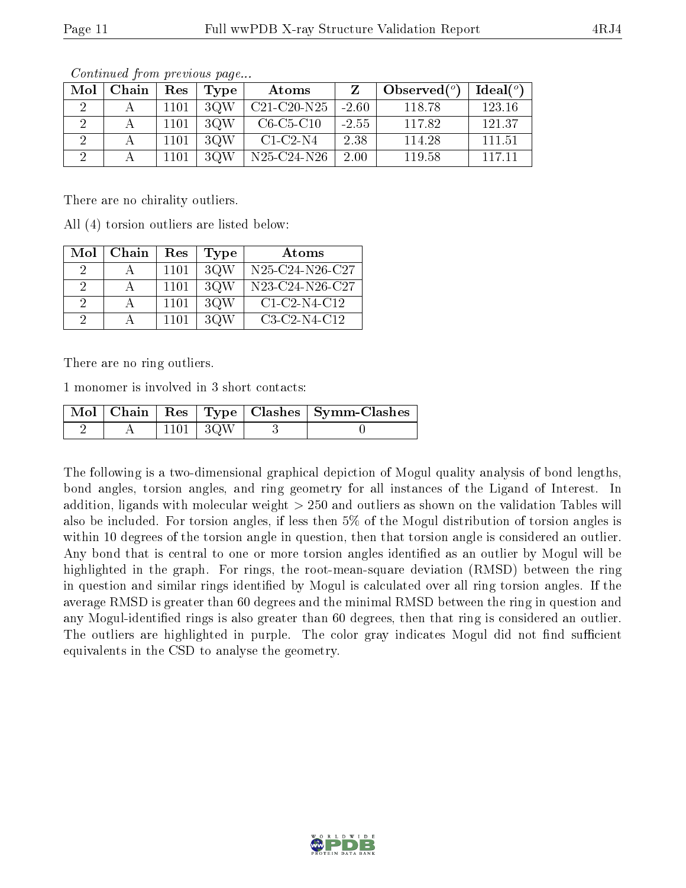| Mol | Chain | Res      | Tvpe | Atoms         |         | Observed $(^\circ)$ | Ideal $(^\circ)$ |
|-----|-------|----------|------|---------------|---------|---------------------|------------------|
|     |       | 1101     | 3QW  | $C21-C20-N25$ | $-2.60$ | 118.78              | 123.16           |
|     |       | 1101     | 3QW  | $C6-C5-C10$   | $-2.55$ | 117.82              | 121.37           |
|     |       | $1101\,$ | 3QW  | $C1-C2-N4$    | 2.38    | 114.28              | 111.51           |
|     |       | 1101     | 3OW  | N25-C24-N26   | 2.00    | 119.58              | 117 11           |

Continued from previous page...

There are no chirality outliers.

All (4) torsion outliers are listed below:

| Mol           | Chain | Res  | Type | Atoms           |
|---------------|-------|------|------|-----------------|
|               |       | 1101 | 3QW  | N25-C24-N26-C27 |
| -2            |       | 1101 | 3QW  | N23-C24-N26-C27 |
| $\mathcal{D}$ |       | 1101 | 3QW  | $C1-C2-N4-C12$  |
| ാ             |       | 1101 | 3QW  | $C3-C2-N4-C12$  |

There are no ring outliers.

1 monomer is involved in 3 short contacts:

|  |                 | Mol   Chain   Res   Type   Clashes   Symm-Clashes |
|--|-----------------|---------------------------------------------------|
|  | $1101 \mid 3QW$ |                                                   |

The following is a two-dimensional graphical depiction of Mogul quality analysis of bond lengths, bond angles, torsion angles, and ring geometry for all instances of the Ligand of Interest. In addition, ligands with molecular weight > 250 and outliers as shown on the validation Tables will also be included. For torsion angles, if less then 5% of the Mogul distribution of torsion angles is within 10 degrees of the torsion angle in question, then that torsion angle is considered an outlier. Any bond that is central to one or more torsion angles identified as an outlier by Mogul will be highlighted in the graph. For rings, the root-mean-square deviation (RMSD) between the ring in question and similar rings identified by Mogul is calculated over all ring torsion angles. If the average RMSD is greater than 60 degrees and the minimal RMSD between the ring in question and any Mogul-identified rings is also greater than 60 degrees, then that ring is considered an outlier. The outliers are highlighted in purple. The color gray indicates Mogul did not find sufficient equivalents in the CSD to analyse the geometry.

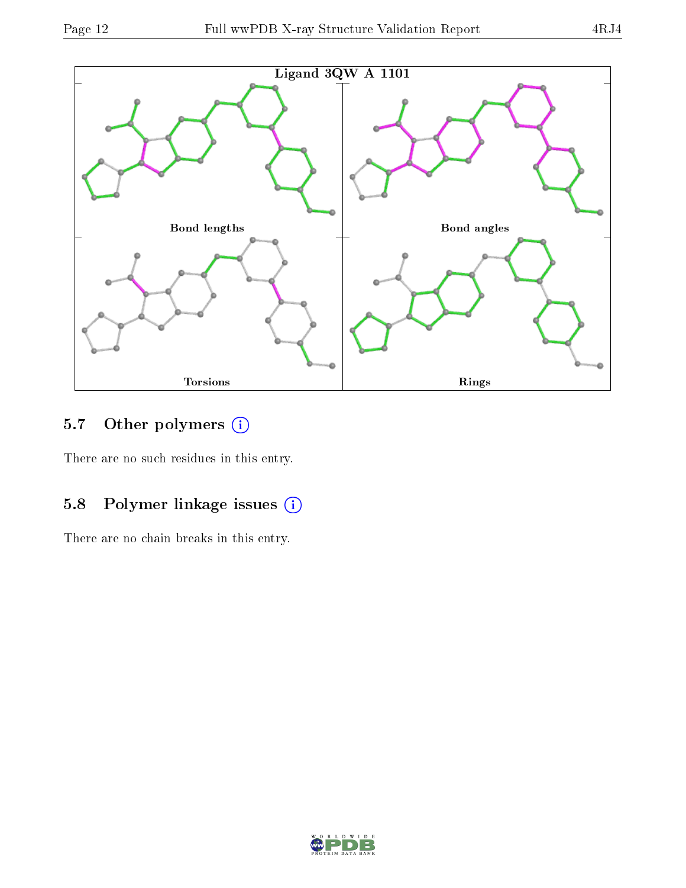

### 5.7 [O](https://www.wwpdb.org/validation/2017/XrayValidationReportHelp#nonstandard_residues_and_ligands)ther polymers (i)

There are no such residues in this entry.

## 5.8 Polymer linkage issues (i)

There are no chain breaks in this entry.

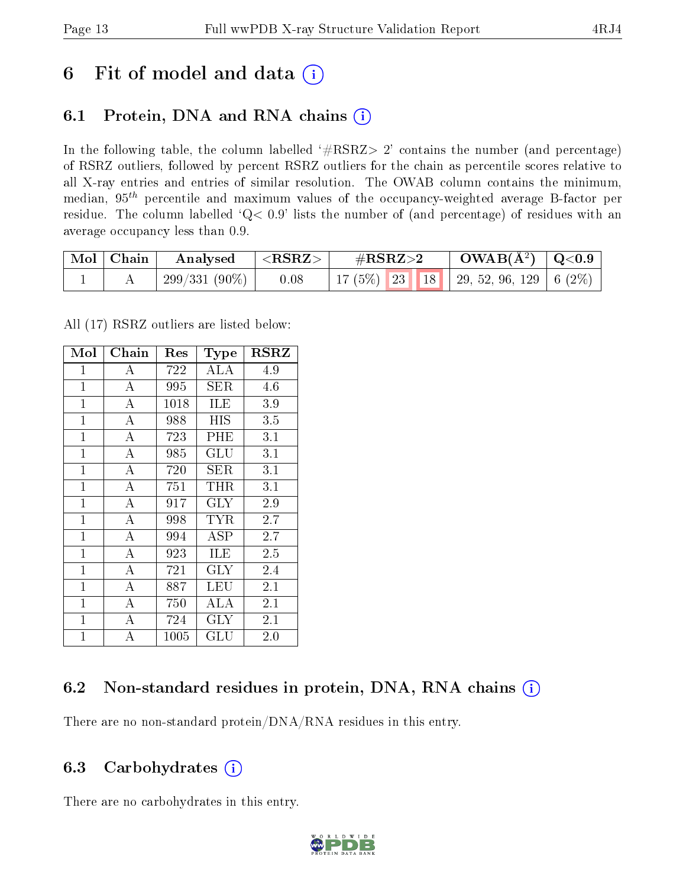## 6 Fit of model and data  $(i)$

## 6.1 Protein, DNA and RNA chains  $(i)$

In the following table, the column labelled  $#RSRZ> 2'$  contains the number (and percentage) of RSRZ outliers, followed by percent RSRZ outliers for the chain as percentile scores relative to all X-ray entries and entries of similar resolution. The OWAB column contains the minimum, median,  $95<sup>th</sup>$  percentile and maximum values of the occupancy-weighted average B-factor per residue. The column labelled ' $Q< 0.9$ ' lists the number of (and percentage) of residues with an average occupancy less than 0.9.

| Mol   Chain | Analysed      | $\mid$ <rsrz> .</rsrz> | $\#\text{RSRZ}\text{>2}$                     | $\rm OWAB(\AA^2)$   Q<0.9 |  |
|-------------|---------------|------------------------|----------------------------------------------|---------------------------|--|
|             | 299/331 (90%) | 0.08                   | 17 (5%)   23   18   29, 52, 96, 129   6 (2%) |                           |  |

All (17) RSRZ outliers are listed below:

| Mol            | Chain              | Res  | Type                 | $_{\rm RSRZ}$    |
|----------------|--------------------|------|----------------------|------------------|
| 1              | А                  | 722  | ALA                  | 4.9              |
| $\overline{1}$ | A                  | 995  | <b>SER</b>           | $4.6\,$          |
| $\overline{1}$ | A                  | 1018 | <b>ILE</b>           | 3.9              |
| $\mathbf{1}$   | А                  | 988  | HIS                  | 3.5              |
| $\mathbf{1}$   | $\overline{A}$     | 723  | PHE                  | $3.\overline{1}$ |
| $\mathbf 1$    | А                  | 985  | $\operatorname{GLU}$ | 3.1              |
| $\mathbf{1}$   | $\overline{A}$     | 720  | SER                  | 3.1              |
| $\mathbf{1}$   | $\boldsymbol{A}$   | 751  | THR                  | 3.1              |
| $\mathbf{1}$   | $\overline{A}$     | 917  | GLY                  | 2.9              |
| $\mathbf{1}$   | $\overline{\rm A}$ | 998  | TYR                  | 2.7              |
| $\mathbf{1}$   | $\overline{A}$     | 994  | ASP                  | 2.7              |
| $\overline{1}$ | $\overline{\rm A}$ | 923  | ILE                  | 2.5              |
| $\overline{1}$ | $\bf{A}$           | 721  | <b>GLY</b>           | 2.4              |
| $\mathbf{1}$   | $\overline{A}$     | 887  | LEU                  | 2.1              |
| $\mathbf{1}$   | $\overline{A}$     | 750  | ALA                  | 2.1              |
| $\mathbf{1}$   | $\overline{A}$     | 724  | GLY                  | 2.1              |
| $\mathbf 1$    | A                  | 1005 | $\operatorname{GLU}$ | 2.0              |

### 6.2 Non-standard residues in protein, DNA, RNA chains (i)

There are no non-standard protein/DNA/RNA residues in this entry.

#### 6.3 Carbohydrates  $(i)$

There are no carbohydrates in this entry.